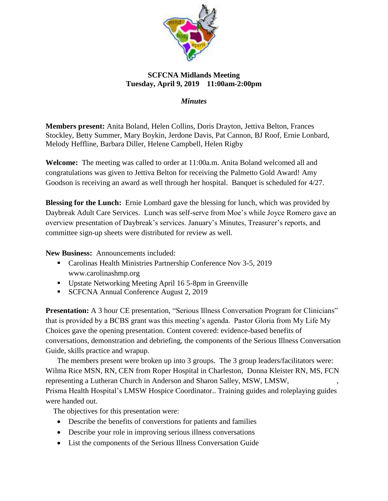

## **SCFCNA Midlands Meeting Tuesday, April 9, 2019 11:00am-2:00pm**

*Minutes*

**Members present:** Anita Boland, Helen Collins, Doris Drayton, Jettiva Belton, Frances Stockley, Betty Summer, Mary Boykin, Jerdone Davis, Pat Cannon, BJ Roof, Ernie Lonbard, Melody Heffline, Barbara Diller, Helene Campbell, Helen Rigby

**Welcome:** The meeting was called to order at 11:00a.m. Anita Boland welcomed all and congratulations was given to Jettiva Belton for receiving the Palmetto Gold Award! Amy Goodson is receiving an award as well through her hospital. Banquet is scheduled for 4/27.

**Blessing for the Lunch:** Ernie Lombard gave the blessing for lunch, which was provided by Daybreak Adult Care Services. Lunch was self-serve from Moe's while Joyce Romero gave an overview presentation of Daybreak's services. January's Minutes, Treasurer's reports, and committee sign-up sheets were distributed for review as well.

**New Business:** Announcements included:

- Carolinas Health Ministries Partnership Conference Nov 3-5, 2019 www.carolinashmp.org
- Upstate Networking Meeting April 16 5-8pm in Greenville
- SCFCNA Annual Conference August 2, 2019

**Presentation:** A 3 hour CE presentation, "Serious Illness Conversation Program for Clinicians" that is provided by a BCBS grant was this meeting's agenda. Pastor Gloria from My Life My Choices gave the opening presentation. Content covered: evidence-based benefits of conversations, demonstration and debriefing, the components of the Serious Illness Conversation Guide, skills practice and wrapup.

 The members present were broken up into 3 groups. The 3 group leaders/facilitators were: Wilma Rice MSN, RN, CEN from Roper Hospital in Charleston, Donna Kleister RN, MS, FCN representing a Lutheran Church in Anderson and Sharon Salley, MSW, LMSW, Prisma Health Hospital's LMSW Hospice Coordinator.. Training guides and roleplaying guides were handed out.

The objectives for this presentation were:

- Describe the benefits of converstions for patients and families
- Describe your role in improving serious illness conversations
- List the components of the Serious Illness Conversation Guide